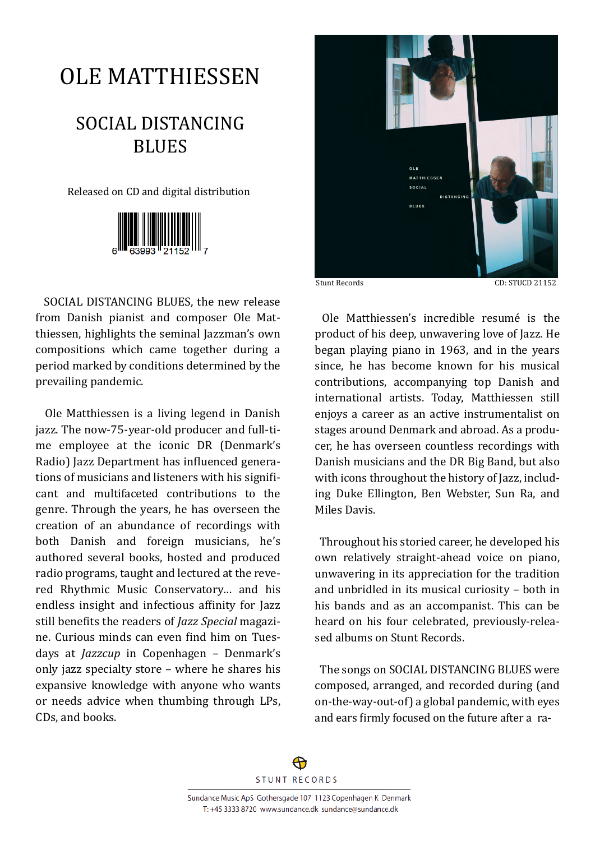## OLE MATTHIESSEN

## SOCIAL DISTANCING **BLUES**

Released on CD and digital distribution



SOCIAL DISTANCING BLUES, the new release from Danish pianist and composer Ole Matthiessen, highlights the seminal Jazzman's own compositions which came together during a period marked by conditions determined by the prevailing pandemic.

 Ole Matthiessen is a living legend in Danish jazz. The now-75-year-old producer and full-time employee at the iconic DR (Denmark's Radio) Jazz Department has influenced generations of musicians and listeners with his significant and multifaceted contributions to the genre. Through the years, he has overseen the creation of an abundance of recordings with both Danish and foreign musicians, he's authored several books, hosted and produced radio programs, taught and lectured at the revered Rhythmic Music Conservatory… and his endless insight and infectious affinity for Jazz still bene�its the readers of *Jazz Special* magazine. Curious minds can even �ind him on Tuesdays at *Jazzcup* in Copenhagen – Denmark's only jazz specialty store – where he shares his expansive knowledge with anyone who wants or needs advice when thumbing through LPs, CDs, and books.



 Ole Matthiessen's incredible resumé is the product of his deep, unwavering love of Jazz. He began playing piano in 1963, and in the years since, he has become known for his musical contributions, accompanying top Danish and international artists. Today, Matthiessen still enjoys a career as an active instrumentalist on stages around Denmark and abroad. As a producer, he has overseen countless recordings with Danish musicians and the DR Big Band, but also with icons throughout the history of Jazz, including Duke Ellington, Ben Webster, Sun Ra, and Miles Davis.

 Throughout his storied career, he developed his own relatively straight-ahead voice on piano, unwavering in its appreciation for the tradition and unbridled in its musical curiosity – both in his bands and as an accompanist. This can be heard on his four celebrated, previously-released albums on Stunt Records.

 The songs on SOCIAL DISTANCING BLUES were composed, arranged, and recorded during (and on-the-way-out-of) a global pandemic, with eyes and ears �irmly focused on the future after a ra